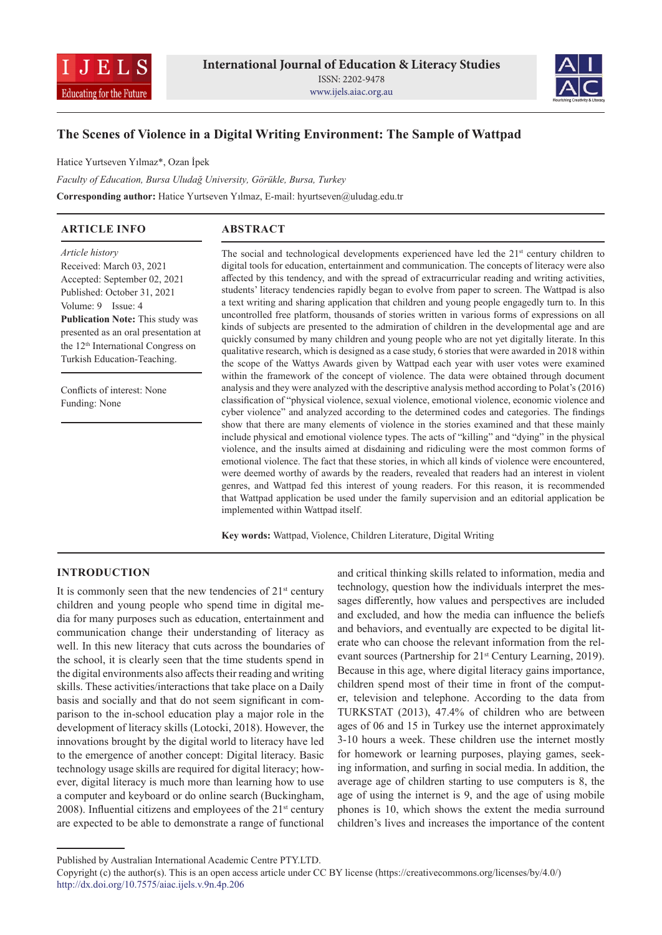



# **The Scenes of Violence in a Digital Writing Environment: The Sample of Wattpad**

Hatice Yurtseven Yılmaz\*, Ozan İpek

*Faculty of Education, Bursa Uludağ University, Görükle, Bursa, Turkey*  **Corresponding author:** Hatice Yurtseven Yılmaz, E-mail: hyurtseven@uludag.edu.tr

# **ARTICLE INFO**

# **ABSTRACT**

*Article history* Received: March 03, 2021 Accepted: September 02, 2021 Published: October 31, 2021 Volume: 9 Issue: 4 **Publication Note:** This study was presented as an oral presentation at the 12<sup>th</sup> International Congress on Turkish Education-Teaching.

Conflicts of interest: None Funding: None

The social and technological developments experienced have led the  $21<sup>st</sup>$  century children to digital tools for education, entertainment and communication. The concepts of literacy were also affected by this tendency, and with the spread of extracurricular reading and writing activities, students' literacy tendencies rapidly began to evolve from paper to screen. The Wattpad is also a text writing and sharing application that children and young people engagedly turn to. In this uncontrolled free platform, thousands of stories written in various forms of expressions on all kinds of subjects are presented to the admiration of children in the developmental age and are quickly consumed by many children and young people who are not yet digitally literate. In this qualitative research, which is designed as a case study, 6 stories that were awarded in 2018 within the scope of the Wattys Awards given by Wattpad each year with user votes were examined within the framework of the concept of violence. The data were obtained through document analysis and they were analyzed with the descriptive analysis method according to Polat's (2016) classification of "physical violence, sexual violence, emotional violence, economic violence and cyber violence" and analyzed according to the determined codes and categories. The findings show that there are many elements of violence in the stories examined and that these mainly include physical and emotional violence types. The acts of "killing" and "dying" in the physical violence, and the insults aimed at disdaining and ridiculing were the most common forms of emotional violence. The fact that these stories, in which all kinds of violence were encountered, were deemed worthy of awards by the readers, revealed that readers had an interest in violent genres, and Wattpad fed this interest of young readers. For this reason, it is recommended that Wattpad application be used under the family supervision and an editorial application be implemented within Wattpad itself.

**Key words:** Wattpad, Violence, Children Literature, Digital Writing

## **INTRODUCTION**

It is commonly seen that the new tendencies of  $21<sup>st</sup>$  century children and young people who spend time in digital media for many purposes such as education, entertainment and communication change their understanding of literacy as well. In this new literacy that cuts across the boundaries of the school, it is clearly seen that the time students spend in the digital environments also affects their reading and writing skills. These activities/interactions that take place on a Daily basis and socially and that do not seem significant in comparison to the in-school education play a major role in the development of literacy skills (Lotocki, 2018). However, the innovations brought by the digital world to literacy have led to the emergence of another concept: Digital literacy. Basic technology usage skills are required for digital literacy; however, digital literacy is much more than learning how to use a computer and keyboard or do online search (Buckingham, 2008). Influential citizens and employees of the  $21<sup>st</sup>$  century are expected to be able to demonstrate a range of functional

and critical thinking skills related to information, media and technology, question how the individuals interpret the messages differently, how values and perspectives are included and excluded, and how the media can influence the beliefs and behaviors, and eventually are expected to be digital literate who can choose the relevant information from the relevant sources (Partnership for 21<sup>st</sup> Century Learning, 2019). Because in this age, where digital literacy gains importance, children spend most of their time in front of the computer, television and telephone. According to the data from TURKSTAT (2013), 47.4% of children who are between ages of 06 and 15 in Turkey use the internet approximately 3-10 hours a week. These children use the internet mostly for homework or learning purposes, playing games, seeking information, and surfing in social media. In addition, the average age of children starting to use computers is 8, the age of using the internet is 9, and the age of using mobile phones is 10, which shows the extent the media surround children's lives and increases the importance of the content

Published by Australian International Academic Centre PTY.LTD.

Copyright (c) the author(s). This is an open access article under CC BY license (https://creativecommons.org/licenses/by/4.0/) http://dx.doi.org/10.7575/aiac.ijels.v.9n.4p.206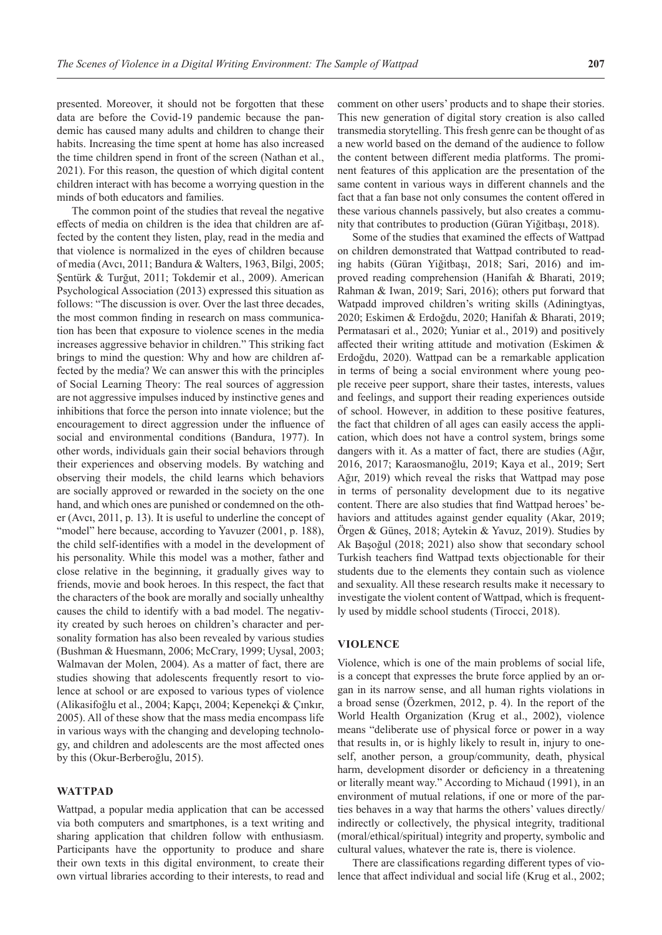presented. Moreover, it should not be forgotten that these data are before the Covid-19 pandemic because the pandemic has caused many adults and children to change their habits. Increasing the time spent at home has also increased the time children spend in front of the screen (Nathan et al., 2021). For this reason, the question of which digital content children interact with has become a worrying question in the minds of both educators and families.

The common point of the studies that reveal the negative effects of media on children is the idea that children are affected by the content they listen, play, read in the media and that violence is normalized in the eyes of children because of media (Avcı, 2011; Bandura & Walters, 1963, Bilgi, 2005; Şentürk & Turğut, 2011; Tokdemir et al., 2009). American Psychological Association (2013) expressed this situation as follows: "The discussion is over. Over the last three decades, the most common finding in research on mass communication has been that exposure to violence scenes in the media increases aggressive behavior in children." This striking fact brings to mind the question: Why and how are children affected by the media? We can answer this with the principles of Social Learning Theory: The real sources of aggression are not aggressive impulses induced by instinctive genes and inhibitions that force the person into innate violence; but the encouragement to direct aggression under the influence of social and environmental conditions (Bandura, 1977). In other words, individuals gain their social behaviors through their experiences and observing models. By watching and observing their models, the child learns which behaviors are socially approved or rewarded in the society on the one hand, and which ones are punished or condemned on the other (Avcı, 2011, p. 13). It is useful to underline the concept of "model" here because, according to Yavuzer (2001, p. 188), the child self-identifies with a model in the development of his personality. While this model was a mother, father and close relative in the beginning, it gradually gives way to friends, movie and book heroes. In this respect, the fact that the characters of the book are morally and socially unhealthy causes the child to identify with a bad model. The negativity created by such heroes on children's character and personality formation has also been revealed by various studies (Bushman & Huesmann, 2006; McCrary, 1999; Uysal, 2003; Walmavan der Molen, 2004). As a matter of fact, there are studies showing that adolescents frequently resort to violence at school or are exposed to various types of violence (Alikasifoğlu et al., 2004; Kapçı, 2004; Kepenekçi & Çınkır, 2005). All of these show that the mass media encompass life in various ways with the changing and developing technology, and children and adolescents are the most affected ones by this (Okur-Berberoğlu, 2015).

## **WATTPAD**

Wattpad, a popular media application that can be accessed via both computers and smartphones, is a text writing and sharing application that children follow with enthusiasm. Participants have the opportunity to produce and share their own texts in this digital environment, to create their own virtual libraries according to their interests, to read and comment on other users' products and to shape their stories. This new generation of digital story creation is also called transmedia storytelling. This fresh genre can be thought of as a new world based on the demand of the audience to follow the content between different media platforms. The prominent features of this application are the presentation of the same content in various ways in different channels and the fact that a fan base not only consumes the content offered in these various channels passively, but also creates a community that contributes to production (Güran Yiğitbaşı, 2018).

Some of the studies that examined the effects of Wattpad on children demonstrated that Wattpad contributed to reading habits (Güran Yiğitbaşı, 2018; Sari, 2016) and improved reading comprehension (Hanifah & Bharati, 2019; Rahman & Iwan, 2019; Sari, 2016); others put forward that Watpadd improved children's writing skills (Adiningtyas, 2020; Eskimen & Erdoğdu, 2020; Hanifah & Bharati, 2019; Permatasari et al., 2020; Yuniar et al., 2019) and positively affected their writing attitude and motivation (Eskimen & Erdoğdu, 2020). Wattpad can be a remarkable application in terms of being a social environment where young people receive peer support, share their tastes, interests, values and feelings, and support their reading experiences outside of school. However, in addition to these positive features, the fact that children of all ages can easily access the application, which does not have a control system, brings some dangers with it. As a matter of fact, there are studies (Ağır, 2016, 2017; Karaosmanoğlu, 2019; Kaya et al., 2019; Sert Ağır, 2019) which reveal the risks that Wattpad may pose in terms of personality development due to its negative content. There are also studies that find Wattpad heroes' behaviors and attitudes against gender equality (Akar, 2019; Örgen & Güneş, 2018; Aytekin & Yavuz, 2019). Studies by Ak Başoğul (2018; 2021) also show that secondary school Turkish teachers find Wattpad texts objectionable for their students due to the elements they contain such as violence and sexuality. All these research results make it necessary to investigate the violent content of Wattpad, which is frequently used by middle school students (Tirocci, 2018).

#### **VIOLENCE**

Violence, which is one of the main problems of social life, is a concept that expresses the brute force applied by an organ in its narrow sense, and all human rights violations in a broad sense (Özerkmen, 2012, p. 4). In the report of the World Health Organization (Krug et al., 2002), violence means "deliberate use of physical force or power in a way that results in, or is highly likely to result in, injury to oneself, another person, a group/community, death, physical harm, development disorder or deficiency in a threatening or literally meant way." According to Michaud (1991), in an environment of mutual relations, if one or more of the parties behaves in a way that harms the others' values directly/ indirectly or collectively, the physical integrity, traditional (moral/ethical/spiritual) integrity and property, symbolic and cultural values, whatever the rate is, there is violence.

There are classifications regarding different types of violence that affect individual and social life (Krug et al., 2002;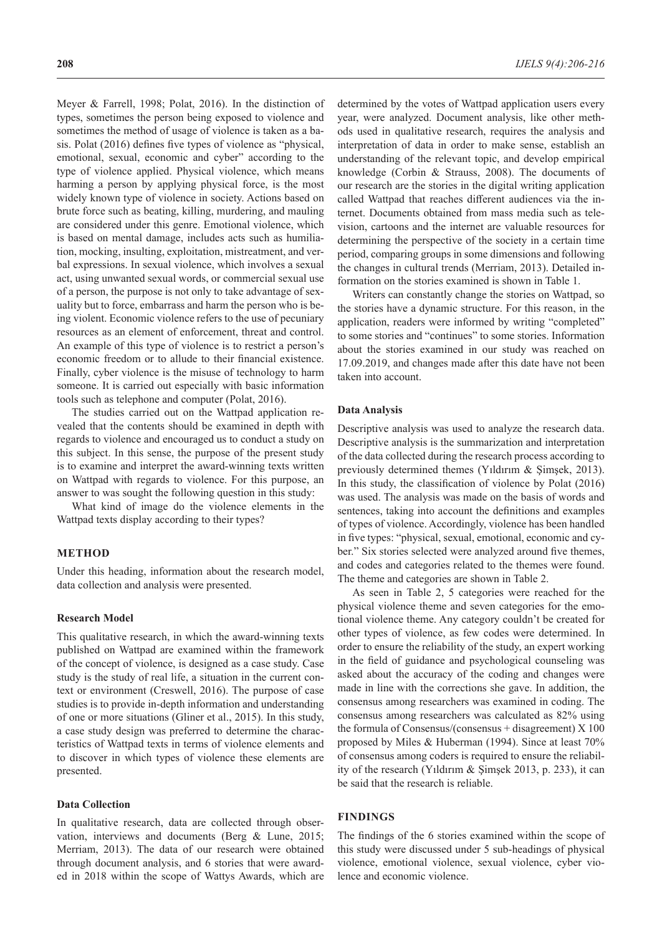Meyer & Farrell, 1998; Polat, 2016). In the distinction of types, sometimes the person being exposed to violence and sometimes the method of usage of violence is taken as a basis. Polat (2016) defines five types of violence as "physical, emotional, sexual, economic and cyber" according to the type of violence applied. Physical violence, which means harming a person by applying physical force, is the most widely known type of violence in society. Actions based on brute force such as beating, killing, murdering, and mauling are considered under this genre. Emotional violence, which is based on mental damage, includes acts such as humiliation, mocking, insulting, exploitation, mistreatment, and verbal expressions. In sexual violence, which involves a sexual act, using unwanted sexual words, or commercial sexual use of a person, the purpose is not only to take advantage of sexuality but to force, embarrass and harm the person who is being violent. Economic violence refers to the use of pecuniary resources as an element of enforcement, threat and control. An example of this type of violence is to restrict a person's economic freedom or to allude to their financial existence. Finally, cyber violence is the misuse of technology to harm someone. It is carried out especially with basic information tools such as telephone and computer (Polat, 2016).

The studies carried out on the Wattpad application revealed that the contents should be examined in depth with regards to violence and encouraged us to conduct a study on this subject. In this sense, the purpose of the present study is to examine and interpret the award-winning texts written on Wattpad with regards to violence. For this purpose, an answer to was sought the following question in this study:

What kind of image do the violence elements in the Wattpad texts display according to their types?

# **METHOD**

Under this heading, information about the research model, data collection and analysis were presented.

# **Research Model**

This qualitative research, in which the award-winning texts published on Wattpad are examined within the framework of the concept of violence, is designed as a case study. Case study is the study of real life, a situation in the current context or environment (Creswell, 2016). The purpose of case studies is to provide in-depth information and understanding of one or more situations (Gliner et al., 2015). In this study, a case study design was preferred to determine the characteristics of Wattpad texts in terms of violence elements and to discover in which types of violence these elements are presented.

## **Data Collection**

In qualitative research, data are collected through observation, interviews and documents (Berg & Lune, 2015; Merriam, 2013). The data of our research were obtained through document analysis, and 6 stories that were awarded in 2018 within the scope of Wattys Awards, which are

determined by the votes of Wattpad application users every year, were analyzed. Document analysis, like other methods used in qualitative research, requires the analysis and interpretation of data in order to make sense, establish an understanding of the relevant topic, and develop empirical knowledge (Corbin & Strauss, 2008). The documents of our research are the stories in the digital writing application called Wattpad that reaches different audiences via the internet. Documents obtained from mass media such as television, cartoons and the internet are valuable resources for determining the perspective of the society in a certain time period, comparing groups in some dimensions and following the changes in cultural trends (Merriam, 2013). Detailed information on the stories examined is shown in Table 1.

Writers can constantly change the stories on Wattpad, so the stories have a dynamic structure. For this reason, in the application, readers were informed by writing "completed" to some stories and "continues" to some stories. Information about the stories examined in our study was reached on 17.09.2019, and changes made after this date have not been taken into account.

#### **Data Analysis**

Descriptive analysis was used to analyze the research data. Descriptive analysis is the summarization and interpretation of the data collected during the research process according to previously determined themes (Yıldırım & Şimşek, 2013). In this study, the classification of violence by Polat (2016) was used. The analysis was made on the basis of words and sentences, taking into account the definitions and examples of types of violence. Accordingly, violence has been handled in five types: "physical, sexual, emotional, economic and cyber." Six stories selected were analyzed around five themes, and codes and categories related to the themes were found. The theme and categories are shown in Table 2.

As seen in Table 2, 5 categories were reached for the physical violence theme and seven categories for the emotional violence theme. Any category couldn't be created for other types of violence, as few codes were determined. In order to ensure the reliability of the study, an expert working in the field of guidance and psychological counseling was asked about the accuracy of the coding and changes were made in line with the corrections she gave. In addition, the consensus among researchers was examined in coding. The consensus among researchers was calculated as 82% using the formula of Consensus/(consensus  $+$  disagreement)  $X$  100 proposed by Miles & Huberman (1994). Since at least 70% of consensus among coders is required to ensure the reliability of the research (Yıldırım & Şimşek 2013, p. 233), it can be said that the research is reliable.

### **FINDINGS**

The findings of the 6 stories examined within the scope of this study were discussed under 5 sub-headings of physical violence, emotional violence, sexual violence, cyber violence and economic violence.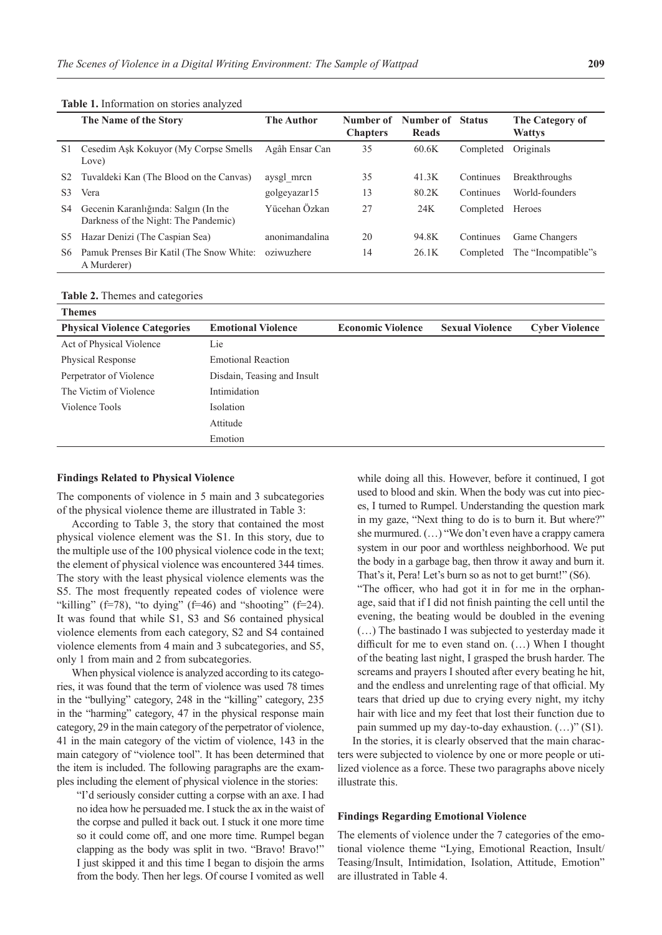|                | The Name of the Story                                                        | <b>The Author</b> | Number of<br><b>Chapters</b> | Number of<br><b>Reads</b> | <b>Status</b> | The Category of<br><b>Wattys</b> |
|----------------|------------------------------------------------------------------------------|-------------------|------------------------------|---------------------------|---------------|----------------------------------|
| S1             | Cesedim Ask Kokuyor (My Corpse Smells)<br>Love)                              | Agâh Ensar Can    | 35                           | 60.6K                     | Completed     | Originals                        |
| S <sub>2</sub> | Tuvaldeki Kan (The Blood on the Canvas)                                      | aysgl mrcn        | 35                           | 41.3K                     | Continues     | <b>Breakthroughs</b>             |
| S <sub>3</sub> | Vera                                                                         | golgeyazar15      | 13                           | 80.2K                     | Continues     | World-founders                   |
| S4             | Gecenin Karanlığında: Salgın (In the<br>Darkness of the Night: The Pandemic) | Yücehan Özkan     | 27                           | 24K                       | Completed     | Heroes                           |
| S5             | Hazar Denizi (The Caspian Sea)                                               | anonimandalina    | 20                           | 94.8K                     | Continues     | Game Changers                    |
| S6             | Pamuk Prenses Bir Katil (The Snow White:<br>A Murderer)                      | oziwuzhere        | 14                           | 26.1K                     | Completed     | The "Incompatible"s              |

**Table 1.** Information on stories analyzed

**Table 2.** Themes and categories

| <b>Themes</b>                       |                             |                          |                        |                       |
|-------------------------------------|-----------------------------|--------------------------|------------------------|-----------------------|
| <b>Physical Violence Categories</b> | <b>Emotional Violence</b>   | <b>Economic Violence</b> | <b>Sexual Violence</b> | <b>Cyber Violence</b> |
| Act of Physical Violence            | Lie                         |                          |                        |                       |
| Physical Response                   | <b>Emotional Reaction</b>   |                          |                        |                       |
| Perpetrator of Violence             | Disdain, Teasing and Insult |                          |                        |                       |
| The Victim of Violence              | Intimidation                |                          |                        |                       |
| Violence Tools                      | Isolation                   |                          |                        |                       |
|                                     | Attitude                    |                          |                        |                       |
|                                     | Emotion                     |                          |                        |                       |

#### **Findings Related to Physical Violence**

The components of violence in 5 main and 3 subcategories of the physical violence theme are illustrated in Table 3:

According to Table 3, the story that contained the most physical violence element was the S1. In this story, due to the multiple use of the 100 physical violence code in the text; the element of physical violence was encountered 344 times. The story with the least physical violence elements was the S5. The most frequently repeated codes of violence were "killing" (f=78), "to dying" (f=46) and "shooting" (f=24). It was found that while S1, S3 and S6 contained physical violence elements from each category, S2 and S4 contained violence elements from 4 main and 3 subcategories, and S5, only 1 from main and 2 from subcategories.

When physical violence is analyzed according to its categories, it was found that the term of violence was used 78 times in the "bullying" category, 248 in the "killing" category, 235 in the "harming" category, 47 in the physical response main category, 29 in the main category of the perpetrator of violence, 41 in the main category of the victim of violence, 143 in the main category of "violence tool". It has been determined that the item is included. The following paragraphs are the examples including the element of physical violence in the stories:

"I'd seriously consider cutting a corpse with an axe. I had no idea how he persuaded me. Istuck the ax in the waist of the corpse and pulled it back out. I stuck it one more time so it could come off, and one more time. Rumpel began clapping as the body was split in two. "Bravo! Bravo!" I just skipped it and this time I began to disjoin the arms from the body. Then her legs. Of course I vomited as well

while doing all this. However, before it continued, I got used to blood and skin. When the body was cut into pieces, I turned to Rumpel. Understanding the question mark in my gaze, "Next thing to do is to burn it. But where?" she murmured. (…) "We don't even have a crappy camera system in our poor and worthless neighborhood. We put the body in a garbage bag, then throw it away and burn it. That's it, Pera! Let's burn so as not to get burnt!" (S6).

"The officer, who had got it in for me in the orphanage, said that if I did not finish painting the cell until the evening, the beating would be doubled in the evening (…) The bastinado I was subjected to yesterday made it difficult for me to even stand on. (…) When I thought of the beating last night, I grasped the brush harder. The screams and prayers I shouted after every beating he hit, and the endless and unrelenting rage of that official. My tears that dried up due to crying every night, my itchy hair with lice and my feet that lost their function due to pain summed up my day-to-day exhaustion. (…)" (S1).

In the stories, it is clearly observed that the main characters were subjected to violence by one or more people or utilized violence as a force. These two paragraphs above nicely illustrate this.

### **Findings Regarding Emotional Violence**

The elements of violence under the 7 categories of the emotional violence theme "Lying, Emotional Reaction, Insult/ Teasing/Insult, Intimidation, Isolation, Attitude, Emotion" are illustrated in Table 4.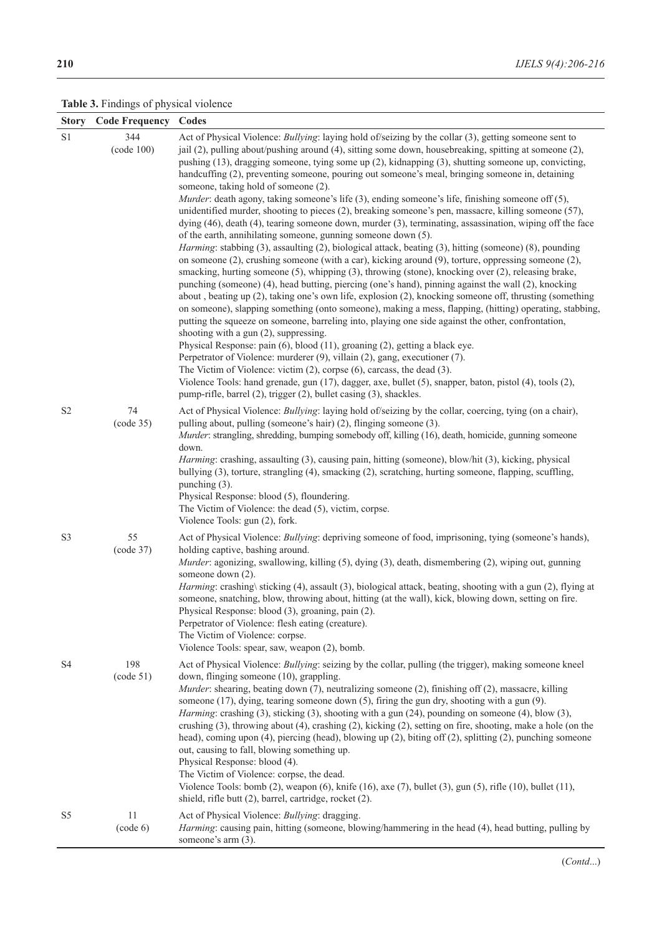**Table 3.** Findings of physical violence

| <b>Story</b>   | <b>Code Frequency</b> | Codes                                                                                                                                                                                                                                                                                                                                                                                                                                                                                                                                                                                                                                                                                                                                                                                                                                                                                                                                                                                                                                                                                                                                                                                                                                                                                                                                                                                                                                                                                                                                                                                                                                                                                                                                                                                                                                                                                                                                                                                                                                                                                                                    |
|----------------|-----------------------|--------------------------------------------------------------------------------------------------------------------------------------------------------------------------------------------------------------------------------------------------------------------------------------------------------------------------------------------------------------------------------------------------------------------------------------------------------------------------------------------------------------------------------------------------------------------------------------------------------------------------------------------------------------------------------------------------------------------------------------------------------------------------------------------------------------------------------------------------------------------------------------------------------------------------------------------------------------------------------------------------------------------------------------------------------------------------------------------------------------------------------------------------------------------------------------------------------------------------------------------------------------------------------------------------------------------------------------------------------------------------------------------------------------------------------------------------------------------------------------------------------------------------------------------------------------------------------------------------------------------------------------------------------------------------------------------------------------------------------------------------------------------------------------------------------------------------------------------------------------------------------------------------------------------------------------------------------------------------------------------------------------------------------------------------------------------------------------------------------------------------|
| $\rm S1$       | 344<br>(code 100)     | Act of Physical Violence: <i>Bullying</i> : laying hold of/seizing by the collar (3), getting someone sent to<br>jail $(2)$ , pulling about/pushing around $(4)$ , sitting some down, housebreaking, spitting at someone $(2)$ ,<br>pushing (13), dragging someone, tying some up (2), kidnapping (3), shutting someone up, convicting,<br>handcuffing (2), preventing someone, pouring out someone's meal, bringing someone in, detaining<br>someone, taking hold of someone (2).<br>Murder: death agony, taking someone's life (3), ending someone's life, finishing someone off (5),<br>unidentified murder, shooting to pieces (2), breaking someone's pen, massacre, killing someone (57),<br>dying (46), death (4), tearing someone down, murder (3), terminating, assassination, wiping off the face<br>of the earth, annihilating someone, gunning someone down (5).<br>Harming: stabbing (3), assaulting (2), biological attack, beating (3), hitting (someone) (8), pounding<br>on someone $(2)$ , crushing someone (with a car), kicking around $(9)$ , torture, oppressing someone $(2)$ ,<br>smacking, hurting someone (5), whipping (3), throwing (stone), knocking over (2), releasing brake,<br>punching (someone) (4), head butting, piercing (one's hand), pinning against the wall (2), knocking<br>about, beating up (2), taking one's own life, explosion (2), knocking someone off, thrusting (something<br>on someone), slapping something (onto someone), making a mess, flapping, (hitting) operating, stabbing,<br>putting the squeeze on someone, barreling into, playing one side against the other, confrontation,<br>shooting with a gun (2), suppressing.<br>Physical Response: pain (6), blood (11), groaning (2), getting a black eye.<br>Perpetrator of Violence: murderer (9), villain (2), gang, executioner (7).<br>The Victim of Violence: victim $(2)$ , corpse $(6)$ , carcass, the dead $(3)$ .<br>Violence Tools: hand grenade, gun (17), dagger, axe, bullet (5), snapper, baton, pistol (4), tools (2),<br>pump-rifle, barrel (2), trigger (2), bullet casing (3), shackles. |
| S <sub>2</sub> | 74<br>(code 35)       | Act of Physical Violence: <i>Bullying</i> : laying hold of/seizing by the collar, coercing, tying (on a chair),<br>pulling about, pulling (someone's hair) (2), flinging someone (3).<br>Murder: strangling, shredding, bumping somebody off, killing (16), death, homicide, gunning someone<br>down.<br>Harming: crashing, assaulting (3), causing pain, hitting (someone), blow/hit (3), kicking, physical<br>bullying (3), torture, strangling (4), smacking (2), scratching, hurting someone, flapping, scuffling,<br>punching (3).<br>Physical Response: blood (5), floundering.<br>The Victim of Violence: the dead (5), victim, corpse.<br>Violence Tools: gun (2), fork.                                                                                                                                                                                                                                                                                                                                                                                                                                                                                                                                                                                                                                                                                                                                                                                                                                                                                                                                                                                                                                                                                                                                                                                                                                                                                                                                                                                                                                         |
| S <sub>3</sub> | 55<br>(code 37)       | Act of Physical Violence: <i>Bullying</i> : depriving someone of food, imprisoning, tying (someone's hands),<br>holding captive, bashing around.<br>Murder: agonizing, swallowing, killing (5), dying (3), death, dismembering (2), wiping out, gunning<br>someone down (2).<br>Harming: crashing\ sticking (4), assault (3), biological attack, beating, shooting with a gun (2), flying at<br>someone, snatching, blow, throwing about, hitting (at the wall), kick, blowing down, setting on fire.<br>Physical Response: blood (3), groaning, pain (2).<br>Perpetrator of Violence: flesh eating (creature).<br>The Victim of Violence: corpse.<br>Violence Tools: spear, saw, weapon (2), bomb.                                                                                                                                                                                                                                                                                                                                                                                                                                                                                                                                                                                                                                                                                                                                                                                                                                                                                                                                                                                                                                                                                                                                                                                                                                                                                                                                                                                                                      |
| S <sub>4</sub> | 198<br>(code 51)      | Act of Physical Violence: <i>Bullying</i> : seizing by the collar, pulling (the trigger), making someone kneel<br>down, flinging someone (10), grappling.<br>Murder: shearing, beating down (7), neutralizing someone (2), finishing off (2), massacre, killing<br>someone (17), dying, tearing someone down (5), firing the gun dry, shooting with a gun (9).<br>Harming: crashing (3), sticking (3), shooting with a gun (24), pounding on someone (4), blow (3),<br>crushing (3), throwing about (4), crashing (2), kicking (2), setting on fire, shooting, make a hole (on the<br>head), coming upon (4), piercing (head), blowing up (2), biting off (2), splitting (2), punching someone<br>out, causing to fall, blowing something up.<br>Physical Response: blood (4).<br>The Victim of Violence: corpse, the dead.<br>Violence Tools: bomb $(2)$ , weapon $(6)$ , knife $(16)$ , axe $(7)$ , bullet $(3)$ , gun $(5)$ , rifle $(10)$ , bullet $(11)$ ,<br>shield, rifle butt (2), barrel, cartridge, rocket (2).                                                                                                                                                                                                                                                                                                                                                                                                                                                                                                                                                                                                                                                                                                                                                                                                                                                                                                                                                                                                                                                                                                |
| S <sub>5</sub> | 11<br>(code 6)        | Act of Physical Violence: Bullying: dragging.<br>Harming: causing pain, hitting (someone, blowing/hammering in the head (4), head butting, pulling by<br>someone's arm (3).                                                                                                                                                                                                                                                                                                                                                                                                                                                                                                                                                                                                                                                                                                                                                                                                                                                                                                                                                                                                                                                                                                                                                                                                                                                                                                                                                                                                                                                                                                                                                                                                                                                                                                                                                                                                                                                                                                                                              |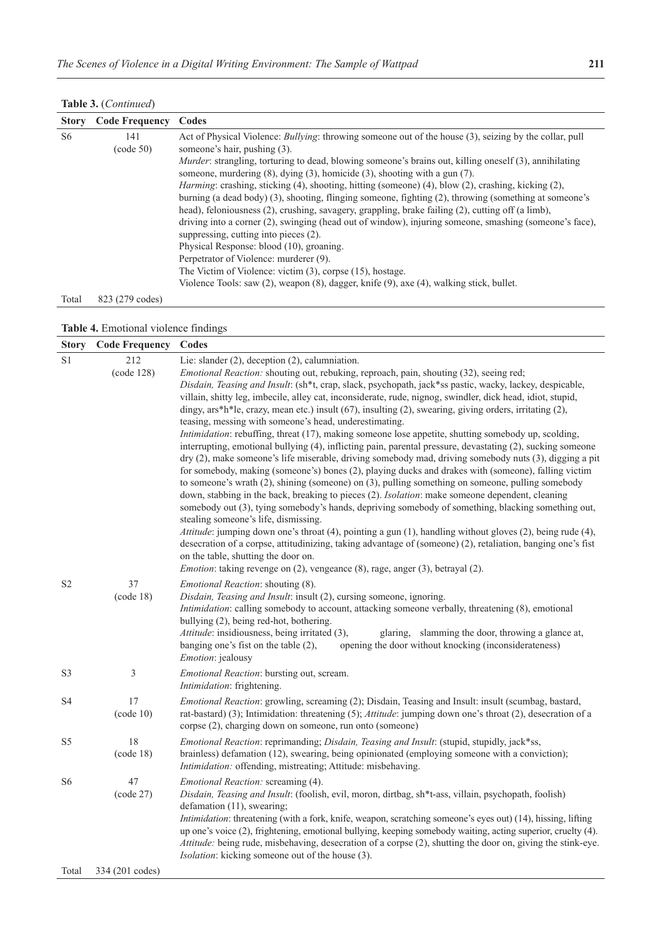**Table 3.** (*Continued*)

| <b>Story</b>   | <b>Code Frequency</b> | Codes                                                                                                          |  |
|----------------|-----------------------|----------------------------------------------------------------------------------------------------------------|--|
| S <sub>6</sub> | 141                   | Act of Physical Violence: <i>Bullying</i> : throwing someone out of the house (3), seizing by the collar, pull |  |
|                | (code 50)             | someone's hair, pushing (3).                                                                                   |  |
|                |                       | <i>Murder:</i> strangling, torturing to dead, blowing someone's brains out, killing oneself (3), annihilating  |  |
|                |                       | someone, murdering $(8)$ , dying $(3)$ , homicide $(3)$ , shooting with a gun $(7)$ .                          |  |
|                |                       | Harming: crashing, sticking (4), shooting, hitting (someone) (4), blow (2), crashing, kicking (2),             |  |
|                |                       | burning (a dead body) (3), shooting, flinging someone, fighting (2), throwing (something at someone's          |  |
|                |                       | head), feloniousness (2), crushing, savagery, grappling, brake failing (2), cutting off (a limb),              |  |
|                |                       | driving into a corner (2), swinging (head out of window), injuring someone, smashing (someone's face),         |  |
|                |                       | suppressing, cutting into pieces (2).                                                                          |  |
|                |                       | Physical Response: blood (10), groaning.                                                                       |  |
|                |                       | Perpetrator of Violence: murderer (9).                                                                         |  |
|                |                       | The Victim of Violence: victim $(3)$ , corpse $(15)$ , hostage.                                                |  |
|                |                       | Violence Tools: saw (2), weapon (8), dagger, knife (9), axe (4), walking stick, bullet.                        |  |
| Total          | 823 (279 codes)       |                                                                                                                |  |

| Table 4. Emotional violence findings |  |  |
|--------------------------------------|--|--|
|--------------------------------------|--|--|

| <b>Story</b>   | <b>Code Frequency</b>              | Codes                                                                                                                                                                                                                                                                                                                                                                                                                                                                                                                                                                                                                                                                                                                                                                                                                                                                                                                                                                                                                                                                                                                                                                                                                                                                                                                                                                                                                                                                                                                                                                                                                                                                                               |
|----------------|------------------------------------|-----------------------------------------------------------------------------------------------------------------------------------------------------------------------------------------------------------------------------------------------------------------------------------------------------------------------------------------------------------------------------------------------------------------------------------------------------------------------------------------------------------------------------------------------------------------------------------------------------------------------------------------------------------------------------------------------------------------------------------------------------------------------------------------------------------------------------------------------------------------------------------------------------------------------------------------------------------------------------------------------------------------------------------------------------------------------------------------------------------------------------------------------------------------------------------------------------------------------------------------------------------------------------------------------------------------------------------------------------------------------------------------------------------------------------------------------------------------------------------------------------------------------------------------------------------------------------------------------------------------------------------------------------------------------------------------------------|
| S <sub>1</sub> | 212<br>(code 128)                  | Lie: slander (2), deception (2), calumniation.<br>Emotional Reaction: shouting out, rebuking, reproach, pain, shouting (32), seeing red;<br>Disdain, Teasing and Insult: (sh*t, crap, slack, psychopath, jack*ss pastic, wacky, lackey, despicable,<br>villain, shitty leg, imbecile, alley cat, inconsiderate, rude, nignog, swindler, dick head, idiot, stupid,<br>dingy, ars*h*le, crazy, mean etc.) insult (67), insulting (2), swearing, giving orders, irritating (2),<br>teasing, messing with someone's head, underestimating.<br>Intimidation: rebuffing, threat (17), making someone lose appetite, shutting somebody up, scolding,<br>interrupting, emotional bullying (4), inflicting pain, parental pressure, devastating (2), sucking someone<br>dry (2), make someone's life miserable, driving somebody mad, driving somebody nuts (3), digging a pit<br>for somebody, making (someone's) bones (2), playing ducks and drakes with (someone), falling victim<br>to someone's wrath $(2)$ , shining (someone) on $(3)$ , pulling something on someone, pulling somebody<br>down, stabbing in the back, breaking to pieces (2). Isolation: make someone dependent, cleaning<br>somebody out (3), tying somebody's hands, depriving somebody of something, blacking something out,<br>stealing someone's life, dismissing.<br>Attitude: jumping down one's throat (4), pointing a gun (1), handling without gloves (2), being rude (4),<br>desecration of a corpse, attitudinizing, taking advantage of (someone) (2), retaliation, banging one's fist<br>on the table, shutting the door on.<br><i>Emotion</i> : taking revenge on (2), vengeance (8), rage, anger (3), betrayal (2). |
| S <sub>2</sub> | 37<br>(code 18)                    | Emotional Reaction: shouting (8).<br>Disdain, Teasing and Insult: insult (2), cursing someone, ignoring.<br>Intimidation: calling somebody to account, attacking someone verbally, threatening (8), emotional<br>bullying (2), being red-hot, bothering.<br>Attitude: insidiousness, being irritated (3),<br>glaring, slamming the door, throwing a glance at,<br>opening the door without knocking (inconsiderateness)<br>banging one's fist on the table (2),<br>Emotion: jealousy                                                                                                                                                                                                                                                                                                                                                                                                                                                                                                                                                                                                                                                                                                                                                                                                                                                                                                                                                                                                                                                                                                                                                                                                                |
| S <sub>3</sub> | 3                                  | Emotional Reaction: bursting out, scream.<br>Intimidation: frightening.                                                                                                                                                                                                                                                                                                                                                                                                                                                                                                                                                                                                                                                                                                                                                                                                                                                                                                                                                                                                                                                                                                                                                                                                                                                                                                                                                                                                                                                                                                                                                                                                                             |
| S4             | 17<br>(code 10)                    | Emotional Reaction: growling, screaming (2); Disdain, Teasing and Insult: insult (scumbag, bastard,<br>rat-bastard) (3); Intimidation: threatening (5); Attitude: jumping down one's throat (2), desecration of a<br>corpse (2), charging down on someone, run onto (someone)                                                                                                                                                                                                                                                                                                                                                                                                                                                                                                                                                                                                                                                                                                                                                                                                                                                                                                                                                                                                                                                                                                                                                                                                                                                                                                                                                                                                                       |
| S <sub>5</sub> | 18<br>(code 18)                    | Emotional Reaction: reprimanding; Disdain, Teasing and Insult: (stupid, stupidly, jack*ss,<br>brainless) defamation (12), swearing, being opinionated (employing someone with a conviction);<br>Intimidation: offending, mistreating; Attitude: misbehaving.                                                                                                                                                                                                                                                                                                                                                                                                                                                                                                                                                                                                                                                                                                                                                                                                                                                                                                                                                                                                                                                                                                                                                                                                                                                                                                                                                                                                                                        |
| S6<br>Total    | 47<br>(code 27)<br>334 (201 codes) | Emotional Reaction: screaming (4).<br>Disdain, Teasing and Insult: (foolish, evil, moron, dirtbag, sh*t-ass, villain, psychopath, foolish)<br>defamation (11), swearing;<br>Intimidation: threatening (with a fork, knife, weapon, scratching someone's eyes out) (14), hissing, lifting<br>up one's voice (2), frightening, emotional bullying, keeping somebody waiting, acting superior, cruelty (4).<br>Attitude: being rude, misbehaving, desecration of a corpse (2), shutting the door on, giving the stink-eye.<br>Isolation: kicking someone out of the house (3).                                                                                                                                                                                                                                                                                                                                                                                                                                                                                                                                                                                                                                                                                                                                                                                                                                                                                                                                                                                                                                                                                                                         |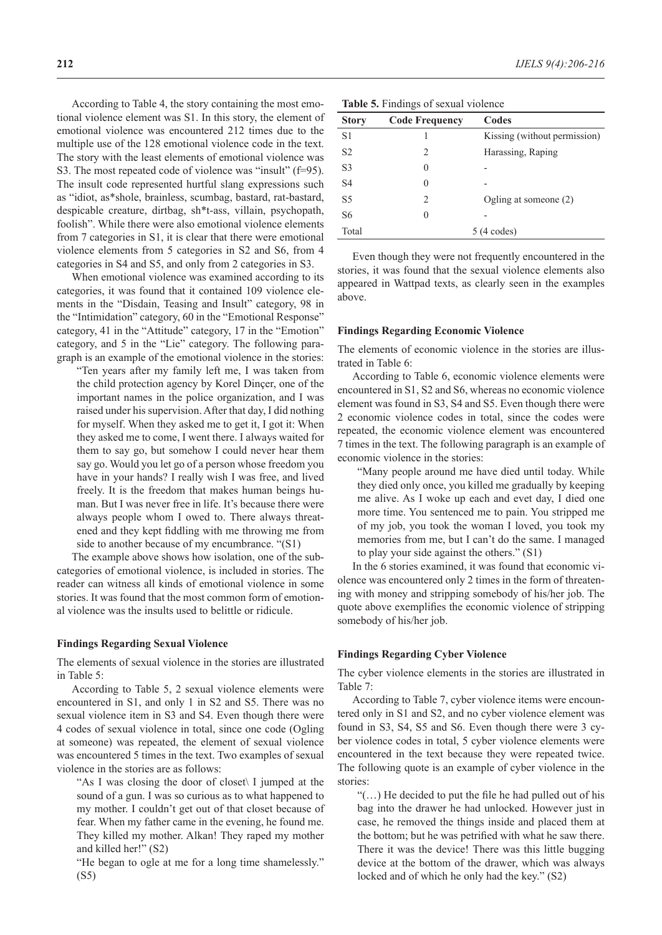According to Table 4, the story containing the most emotional violence element was S1. In this story, the element of emotional violence was encountered 212 times due to the multiple use of the 128 emotional violence code in the text. The story with the least elements of emotional violence was S3. The most repeated code of violence was "insult" (f=95). The insult code represented hurtful slang expressions such as "idiot, as\*shole, brainless, scumbag, bastard, rat-bastard, despicable creature, dirtbag, sh\*t-ass, villain, psychopath, foolish". While there were also emotional violence elements from 7 categories in S1, it is clear that there were emotional violence elements from 5 categories in S2 and S6, from 4 categories in S4 and S5, and only from 2 categories in S3.

When emotional violence was examined according to its categories, it was found that it contained 109 violence elements in the "Disdain, Teasing and Insult" category, 98 in the "Intimidation" category, 60 in the "Emotional Response" category, 41 in the "Attitude" category, 17 in the "Emotion" category, and 5 in the "Lie" category. The following paragraph is an example of the emotional violence in the stories:

"Ten years after my family left me, I was taken from the child protection agency by Korel Dinçer, one of the important names in the police organization, and I was raised under his supervision. After that day, I did nothing for myself. When they asked me to get it, I got it: When they asked me to come, I went there. I always waited for them to say go, but somehow I could never hear them say go. Would you let go of a person whose freedom you have in your hands? I really wish I was free, and lived freely. It is the freedom that makes human beings human. But I was never free in life. It's because there were always people whom I owed to. There always threatened and they kept fiddling with me throwing me from side to another because of my encumbrance. "(S1)

The example above shows how isolation, one of the subcategories of emotional violence, is included in stories. The reader can witness all kinds of emotional violence in some stories. It was found that the most common form of emotional violence was the insults used to belittle or ridicule.

#### **Findings Regarding Sexual Violence**

The elements of sexual violence in the stories are illustrated in Table 5:

According to Table 5, 2 sexual violence elements were encountered in S1, and only 1 in S2 and S5. There was no sexual violence item in S3 and S4. Even though there were 4 codes of sexual violence in total, since one code (Ogling at someone) was repeated, the element of sexual violence was encountered 5 times in the text. Two examples of sexual violence in the stories are as follows:

"As I was closing the door of closet\ I jumped at the sound of a gun. I was so curious as to what happened to my mother. I couldn't get out of that closet because of fear. When my father came in the evening, he found me. They killed my mother. Alkan! They raped my mother and killed her!" (S2)

"He began to ogle at me for a long time shamelessly." (S5)

|  |  | Table 5. Findings of sexual violence |  |  |  |  |
|--|--|--------------------------------------|--|--|--|--|
|--|--|--------------------------------------|--|--|--|--|

| <b>Story</b>   | <b>Code Frequency</b>         | Codes                        |
|----------------|-------------------------------|------------------------------|
| S <sub>1</sub> |                               | Kissing (without permission) |
| S <sub>2</sub> | 2                             | Harassing, Raping            |
| S <sub>3</sub> | 0                             |                              |
| S <sub>4</sub> | 0                             |                              |
| S <sub>5</sub> | $\mathfrak{D}_{\mathfrak{p}}$ | Ogling at someone $(2)$      |
| S <sub>6</sub> | 0                             |                              |
| Total          |                               | $5(4 \text{ codes})$         |
|                |                               |                              |

Even though they were not frequently encountered in the stories, it was found that the sexual violence elements also appeared in Wattpad texts, as clearly seen in the examples above.

#### **Findings Regarding Economic Violence**

The elements of economic violence in the stories are illustrated in Table 6:

According to Table 6, economic violence elements were encountered in S1, S2 and S6, whereas no economic violence element was found in S3, S4 and S5. Even though there were 2 economic violence codes in total, since the codes were repeated, the economic violence element was encountered 7 times in the text. The following paragraph is an example of economic violence in the stories:

"Many people around me have died until today. While they died only once, you killed me gradually by keeping me alive. As I woke up each and evet day, I died one more time. You sentenced me to pain. You stripped me of my job, you took the woman I loved, you took my memories from me, but I can't do the same. I managed to play your side against the others." (S1)

In the 6 stories examined, it was found that economic violence was encountered only 2 times in the form of threatening with money and stripping somebody of his/her job. The quote above exemplifies the economic violence of stripping somebody of his/her job.

#### **Findings Regarding Cyber Violence**

The cyber violence elements in the stories are illustrated in Table 7:

According to Table 7, cyber violence items were encountered only in S1 and S2, and no cyber violence element was found in S3, S4, S5 and S6. Even though there were 3 cyber violence codes in total, 5 cyber violence elements were encountered in the text because they were repeated twice. The following quote is an example of cyber violence in the stories:

"(…) He decided to put the file he had pulled out of his bag into the drawer he had unlocked. However just in case, he removed the things inside and placed them at the bottom; but he was petrified with what he saw there. There it was the device! There was this little bugging device at the bottom of the drawer, which was always locked and of which he only had the key." (S2)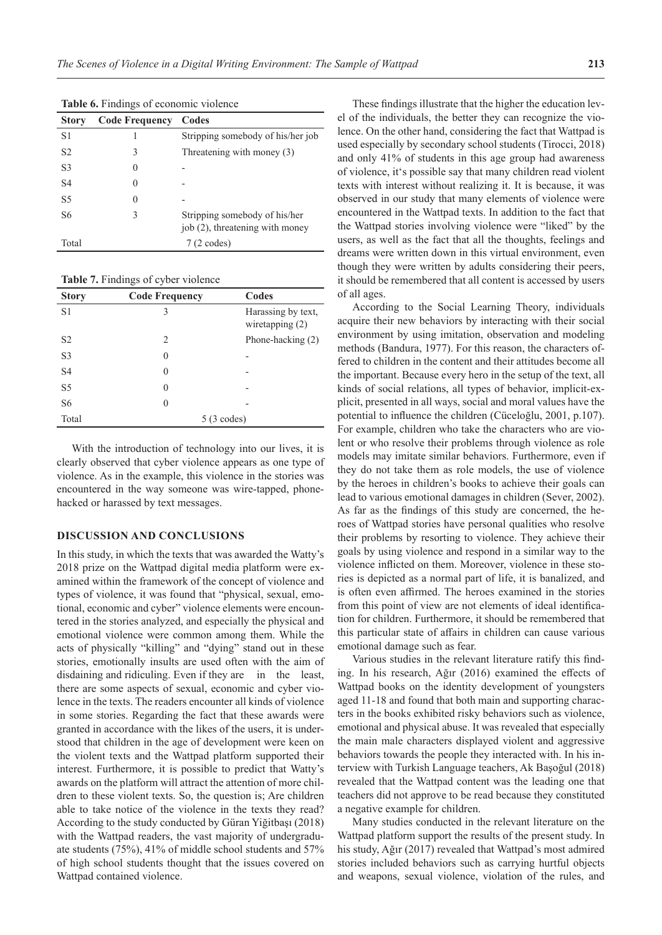| <b>Story</b>   | <b>Code Frequency</b> | Codes                                                            |
|----------------|-----------------------|------------------------------------------------------------------|
| S1             |                       | Stripping somebody of his/her job                                |
| S2             | 3                     | Threatening with money (3)                                       |
| S <sub>3</sub> | 0                     |                                                                  |
| S4             | $\theta$              |                                                                  |
| S <sub>5</sub> | 0                     |                                                                  |
| S6             | 3                     | Stripping somebody of his/her<br>job (2), threatening with money |
| Total          |                       | $7(2 \text{ codes})$                                             |

**Table 6.** Findings of economic violence

**Table 7.** Findings of cyber violence

| <b>Story</b>   | <b>Code Frequency</b>         | Codes                                   |  |  |
|----------------|-------------------------------|-----------------------------------------|--|--|
| S <sub>1</sub> | 3                             | Harassing by text,<br>wiretapping $(2)$ |  |  |
| S <sub>2</sub> | $\mathfrak{D}_{\mathfrak{p}}$ | Phone-hacking $(2)$                     |  |  |
| S <sub>3</sub> | 0                             |                                         |  |  |
| S <sub>4</sub> | 0                             |                                         |  |  |
| S <sub>5</sub> | 0                             |                                         |  |  |
| S <sub>6</sub> | 0                             |                                         |  |  |
| Total          |                               | $5(3 \text{ codes})$                    |  |  |

With the introduction of technology into our lives, it is clearly observed that cyber violence appears as one type of violence. As in the example, this violence in the stories was encountered in the way someone was wire-tapped, phonehacked or harassed by text messages.

#### **DISCUSSION AND CONCLUSIONS**

In this study, in which the texts that was awarded the Watty's 2018 prize on the Wattpad digital media platform were examined within the framework of the concept of violence and types of violence, it was found that "physical, sexual, emotional, economic and cyber" violence elements were encountered in the stories analyzed, and especially the physical and emotional violence were common among them. While the acts of physically "killing" and "dying" stand out in these stories, emotionally insults are used often with the aim of disdaining and ridiculing. Even if they are in the least, there are some aspects of sexual, economic and cyber violence in the texts. The readers encounter all kinds of violence in some stories. Regarding the fact that these awards were granted in accordance with the likes of the users, it is understood that children in the age of development were keen on the violent texts and the Wattpad platform supported their interest. Furthermore, it is possible to predict that Watty's awards on the platform will attract the attention of more children to these violent texts. So, the question is; Are children able to take notice of the violence in the texts they read? According to the study conducted by Güran Yiğitbaşı (2018) with the Wattpad readers, the vast majority of undergraduate students (75%), 41% of middle school students and 57% of high school students thought that the issues covered on Wattpad contained violence.

These findings illustrate that the higher the education level of the individuals, the better they can recognize the violence. On the other hand, considering the fact that Wattpad is used especially by secondary school students (Tirocci, 2018) and only 41% of students in this age group had awareness of violence, it's possible say that many children read violent texts with interest without realizing it. It is because, it was observed in our study that many elements of violence were encountered in the Wattpad texts. In addition to the fact that the Wattpad stories involving violence were "liked" by the users, as well as the fact that all the thoughts, feelings and dreams were written down in this virtual environment, even though they were written by adults considering their peers, it should be remembered that all content is accessed by users of all ages.

According to the Social Learning Theory, individuals acquire their new behaviors by interacting with their social environment by using imitation, observation and modeling methods (Bandura, 1977). For this reason, the characters offered to children in the content and their attitudes become all the important. Because every hero in the setup of the text, all kinds of social relations, all types of behavior, implicit-explicit, presented in all ways, social and moral values have the potential to influence the children (Cüceloğlu, 2001, p.107). For example, children who take the characters who are violent or who resolve their problems through violence as role models may imitate similar behaviors. Furthermore, even if they do not take them as role models, the use of violence by the heroes in children's books to achieve their goals can lead to various emotional damages in children (Sever, 2002). As far as the findings of this study are concerned, the heroes of Wattpad stories have personal qualities who resolve their problems by resorting to violence. They achieve their goals by using violence and respond in a similar way to the violence inflicted on them. Moreover, violence in these stories is depicted as a normal part of life, it is banalized, and is often even affirmed. The heroes examined in the stories from this point of view are not elements of ideal identification for children. Furthermore, it should be remembered that this particular state of affairs in children can cause various emotional damage such as fear.

Various studies in the relevant literature ratify this finding. In his research, Ağır (2016) examined the effects of Wattpad books on the identity development of youngsters aged 11-18 and found that both main and supporting characters in the books exhibited risky behaviors such as violence, emotional and physical abuse. It was revealed that especially the main male characters displayed violent and aggressive behaviors towards the people they interacted with. In his interview with Turkish Language teachers, Ak Başoğul (2018) revealed that the Wattpad content was the leading one that teachers did not approve to be read because they constituted a negative example for children.

Many studies conducted in the relevant literature on the Wattpad platform support the results of the present study. In his study, Ağır (2017) revealed that Wattpad's most admired stories included behaviors such as carrying hurtful objects and weapons, sexual violence, violation of the rules, and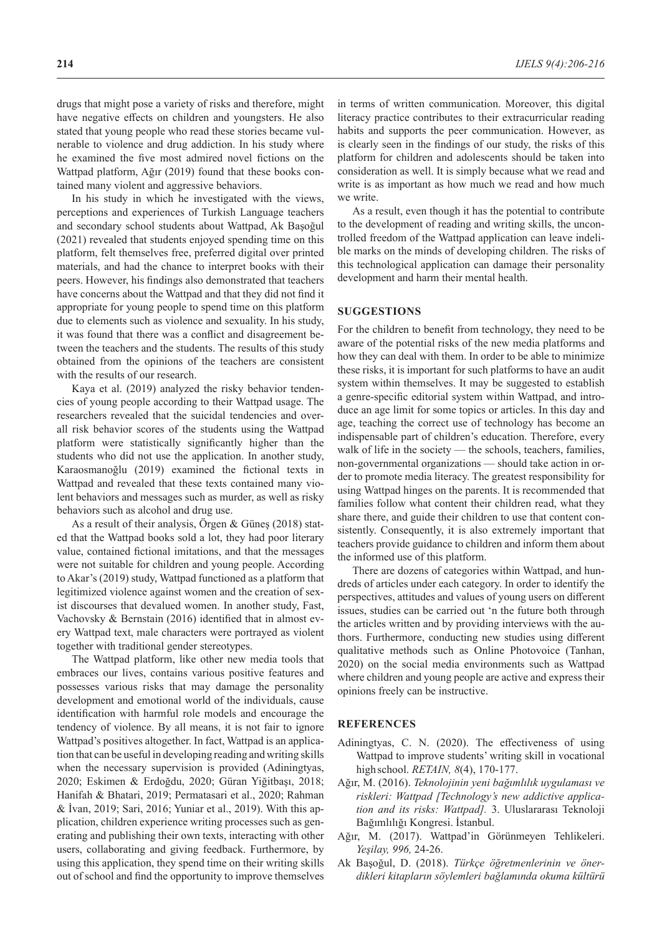drugs that might pose a variety of risks and therefore, might have negative effects on children and youngsters. He also stated that young people who read these stories became vulnerable to violence and drug addiction. In his study where he examined the five most admired novel fictions on the Wattpad platform, Ağır (2019) found that these books contained many violent and aggressive behaviors.

In his study in which he investigated with the views, perceptions and experiences of Turkish Language teachers and secondary school students about Wattpad, Ak Başoğul (2021) revealed that students enjoyed spending time on this platform, felt themselves free, preferred digital over printed materials, and had the chance to interpret books with their peers. However, his findings also demonstrated that teachers have concerns about the Wattpad and that they did not find it appropriate for young people to spend time on this platform due to elements such as violence and sexuality. In his study, it was found that there was a conflict and disagreement between the teachers and the students. The results of this study obtained from the opinions of the teachers are consistent with the results of our research.

Kaya et al. (2019) analyzed the risky behavior tendencies of young people according to their Wattpad usage. The researchers revealed that the suicidal tendencies and overall risk behavior scores of the students using the Wattpad platform were statistically significantly higher than the students who did not use the application. In another study, Karaosmanoğlu (2019) examined the fictional texts in Wattpad and revealed that these texts contained many violent behaviors and messages such as murder, as well as risky behaviors such as alcohol and drug use.

As a result of their analysis, Örgen & Güneş (2018) stated that the Wattpad books sold a lot, they had poor literary value, contained fictional imitations, and that the messages were not suitable for children and young people. According to Akar's (2019) study, Wattpad functioned as a platform that legitimized violence against women and the creation of sexist discourses that devalued women. In another study, Fast, Vachovsky & Bernstain (2016) identified that in almost every Wattpad text, male characters were portrayed as violent together with traditional gender stereotypes.

The Wattpad platform, like other new media tools that embraces our lives, contains various positive features and possesses various risks that may damage the personality development and emotional world of the individuals, cause identification with harmful role models and encourage the tendency of violence. By all means, it is not fair to ignore Wattpad's positives altogether. In fact, Wattpad is an application that can be useful in developing reading and writing skills when the necessary supervision is provided (Adiningtyas, 2020; Eskimen & Erdoğdu, 2020; Güran Yiğitbaşı, 2018; Hanifah & Bhatari, 2019; Permatasari et al., 2020; Rahman & İvan, 2019; Sari, 2016; Yuniar et al., 2019). With this application, children experience writing processes such as generating and publishing their own texts, interacting with other users, collaborating and giving feedback. Furthermore, by using this application, they spend time on their writing skills out of school and find the opportunity to improve themselves in terms of written communication. Moreover, this digital literacy practice contributes to their extracurricular reading habits and supports the peer communication. However, as is clearly seen in the findings of our study, the risks of this platform for children and adolescents should be taken into consideration as well. It is simply because what we read and write is as important as how much we read and how much we write.

As a result, even though it has the potential to contribute to the development of reading and writing skills, the uncontrolled freedom of the Wattpad application can leave indelible marks on the minds of developing children. The risks of this technological application can damage their personality development and harm their mental health.

## **SUGGESTIONS**

For the children to benefit from technology, they need to be aware of the potential risks of the new media platforms and how they can deal with them. In order to be able to minimize these risks, it is important for such platforms to have an audit system within themselves. It may be suggested to establish a genre-specific editorial system within Wattpad, and introduce an age limit for some topics or articles. In this day and age, teaching the correct use of technology has become an indispensable part of children's education. Therefore, every walk of life in the society — the schools, teachers, families, non-governmental organizations — should take action in order to promote media literacy. The greatest responsibility for using Wattpad hinges on the parents. It is recommended that families follow what content their children read, what they share there, and guide their children to use that content consistently. Consequently, it is also extremely important that teachers provide guidance to children and inform them about the informed use of this platform.

There are dozens of categories within Wattpad, and hundreds of articles under each category. In order to identify the perspectives, attitudes and values of young users on different issues, studies can be carried out 'n the future both through the articles written and by providing interviews with the authors. Furthermore, conducting new studies using different qualitative methods such as Online Photovoice (Tanhan, 2020) on the social media environments such as Wattpad where children and young people are active and express their opinions freely can be instructive.

# **REFERENCES**

- Adiningtyas, C. N. (2020). The effectiveness of using Wattpad to improve students' writing skill in vocational highschool. *RETAIN, 8*(4), 170-177.
- Ağır, M. (2016). *Teknolojinin yeni bağımlılık uygulaması ve riskleri: Wattpad [Technology's new addictive application and its risks: Wattpad].* 3. Uluslararası Teknoloji Bağımlılığı Kongresi. İstanbul.
- Ağır, M. (2017). Wattpad'in Görünmeyen Tehlikeleri. *Yeşilay, 996,* 24-26.
- Ak Başoğul, D. (2018). *Türkçe öğretmenlerinin ve önerdikleri kitapların söylemleri bağlamında okuma kültürü*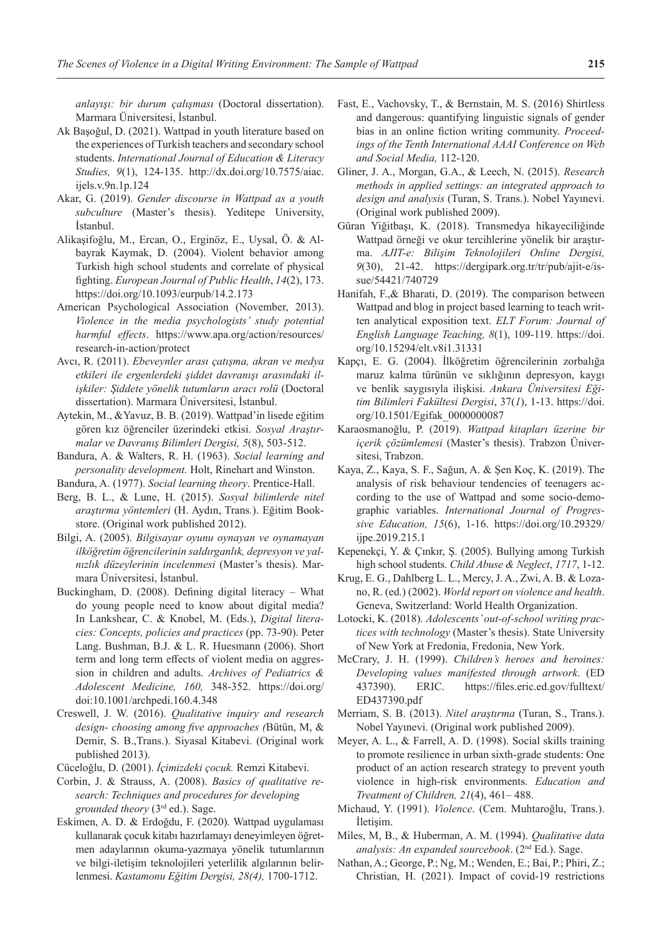*anlayışı: bir durum çalışması* (Doctoral dissertation). Marmara Üniversitesi, İstanbul.

- Ak Başoğul, D. (2021). Wattpad in youth literature based on the experiences of Turkish teachers and secondary school students. *International Journal of Education & Literacy Studies, 9*(1), 124-135. http://dx.doi.org/10.7575/aiac. ijels.v.9n.1p.124
- Akar, G. (2019). *Gender discourse in Wattpad as a youth subculture* (Master's thesis). Yeditepe University, İstanbul.
- Alikaşifoğlu, M., Ercan, O., Erginöz, E., Uysal, Ö. & Albayrak Kaymak, D. (2004). Violent behavior among Turkish high school students and correlate of physical fighting. *European Journal of Public Health*, *14*(2), 173. https://doi.org/10.1093/eurpub/14.2.173
- American Psychological Association (November, 2013). *Violence in the media psychologists' study potential harmful effects*. https://www.apa.org/action/resources/ research-in-action/protect
- Avcı, R. (2011). *Ebeveynler arası çatışma, akran ve medya etkileri ile ergenlerdeki şiddet davranışı arasındaki ilişkiler: Şiddete yönelik tutumların aracı rolü* (Doctoral dissertation). Marmara Üniversitesi, İstanbul.
- Aytekin, M., &Yavuz, B. B. (2019). Wattpad'in lisede eğitim gören kız öğrenciler üzerindeki etkisi. *Sosyal Araştırmalar ve Davranış Bilimleri Dergisi, 5*(8), 503-512.
- Bandura, A. & Walters, R. H. (1963). *Social learning and personality development.* Holt, Rinehart and Winston.

Bandura, A. (1977). *Social learning theory*. Prentice-Hall.

- Berg, B. L., & Lune, H. (2015). *Sosyal bilimlerde nitel araştırma yöntemleri* (H. Aydın, Trans*.*). Eğitim Bookstore. (Original work published 2012).
- Bilgi, A. (2005). *Bilgisayar oyunu oynayan ve oynamayan ilköğretim öğrencilerinin saldırganlık, depresyon ve yalnızlık düzeylerinin incelenmesi* (Master's thesis). Marmara Üniversitesi, İstanbul.
- Buckingham, D. (2008). Defining digital literacy What do young people need to know about digital media? In Lankshear, C. & Knobel, M. (Eds.), *Digital literacies: Concepts, policies and practices* (pp. 73-90). Peter Lang. Bushman, B.J. & L. R. Huesmann (2006). Short term and long term effects of violent media on aggression in children and adults. *Archives of Pediatrics & Adolescent Medicine, 160,* 348-352. https://doi.org/ doi:10.1001/archpedi.160.4.348
- Creswell, J. W. (2016). *Qualitative inquiry and research design- choosing among five approaches (*Bütün, M, & Demir, S. B.,Trans.). Siyasal Kitabevi. (Original work published 2013).
- Cüceloğlu, D. (2001). *İçimizdeki çocuk.* Remzi Kitabevi.
- Corbin, J. & Strauss, A. (2008). *Basics of qualitative research: Techniques and procedures for developing grounded theory* (3rd ed.). Sage.
- Eskimen, A. D. & Erdoğdu, F. (2020). Wattpad uygulaması kullanarak çocuk kitabı hazırlamayı deneyimleyen öğretmen adaylarının okuma-yazmaya yönelik tutumlarının ve bilgi-iletişim teknolojileri yeterlilik algılarının belirlenmesi. *Kastamonu Eğitim Dergisi, 28(4),* 1700-1712.
- Fast, E., Vachovsky, T., & Bernstain, M. S. (2016) Shirtless and dangerous: quantifying linguistic signals of gender bias in an online fiction writing community. *Proceedings of the Tenth International AAAI Conference on Web and Social Media,* 112-120.
- Gliner, J. A., Morgan, G.A., & Leech, N. (2015). *Research methods in applied settings: an integrated approach to design and analysis* (Turan, S. Trans.). Nobel Yayınevi. (Original work published 2009).
- Güran Yiğitbaşı, K. (2018). Transmedya hikayeciliğinde Wattpad örneği ve okur tercihlerine yönelik bir araştırma. *AJIT-e: Bilişim Teknolojileri Online Dergisi, 9*(30), 21-42. https://dergipark.org.tr/tr/pub/ajit-e/issue/54421/740729
- Hanifah, F.,& Bharati, D. (2019). The comparison between Wattpad and blog in project based learning to teach written analytical exposition text. *ELT Forum: Journal of English Language Teaching, 8*(1), 109-119. https://doi. org/10.15294/elt.v8i1.31331
- Kapçı, E. G. (2004). İlköğretim öğrencilerinin zorbalığa maruz kalma türünün ve sıklığının depresyon, kaygı ve benlik saygısıyla ilişkisi. *Ankara Üniversitesi Eğitim Bilimleri Fakültesi Dergisi*, 37(*1*), 1-13. https://doi. org/10.1501/Egifak\_0000000087
- Karaosmanoğlu, P. (2019). *Wattpad kitapları üzerine bir içerik çözümlemesi* (Master's thesis). Trabzon Üniversitesi, Trabzon.
- Kaya, Z., Kaya, S. F., Sağun, A. & Şen Koç, K. (2019). The analysis of risk behaviour tendencies of teenagers according to the use of Wattpad and some socio-demographic variables. *International Journal of Progressive Education, 15*(6), 1-16. https://doi.org/10.29329/ ijpe.2019.215.1
- Kepenekçi, Y. & Çınkır, Ş. (2005). Bullying among Turkish high school students. *Child Abuse & Neglect*, *1717*, 1-12.
- Krug, E. G., Dahlberg L. L., Mercy, J. A., Zwi, A. B. & Lozano, R. (ed.) (2002). *World report on violence and health*. Geneva, Switzerland: World Health Organization.
- Lotocki, K. (2018). *Adolescents' out-of-school writing practices with technology* (Master's thesis). State University of New York at Fredonia, Fredonia, New York.
- McCrary, J. H. (1999). *Children's heroes and heroines: Developing values manifested through artwork*. (ED 437390). ERIC. https://files.eric.ed.gov/fulltext/ ED437390.pdf
- Merriam, S. B. (2013). *Nitel araştırma* (Turan, S., Trans.). Nobel Yayınevi. (Original work published 2009).
- Meyer, A. L., & Farrell, A. D. (1998). Social skills training to promote resilience in urban sixth-grade students: One product of an action research strategy to prevent youth violence in high-risk environments. *Education and Treatment of Children, 21*(4), 461– 488.
- Michaud, Y. (1991). *Violence*. (Cem. Muhtaroğlu, Trans.). İletişim.
- Miles, M, B., & Huberman, A. M. (1994). *Qualitative data analysis: An expanded sourcebook*. (2nd Ed.). Sage.
- Nathan, A.; George, P.; Ng, M.; Wenden, E.; Bai, P.; Phiri, Z.; Christian, H. (2021). Impact of covid-19 restrictions